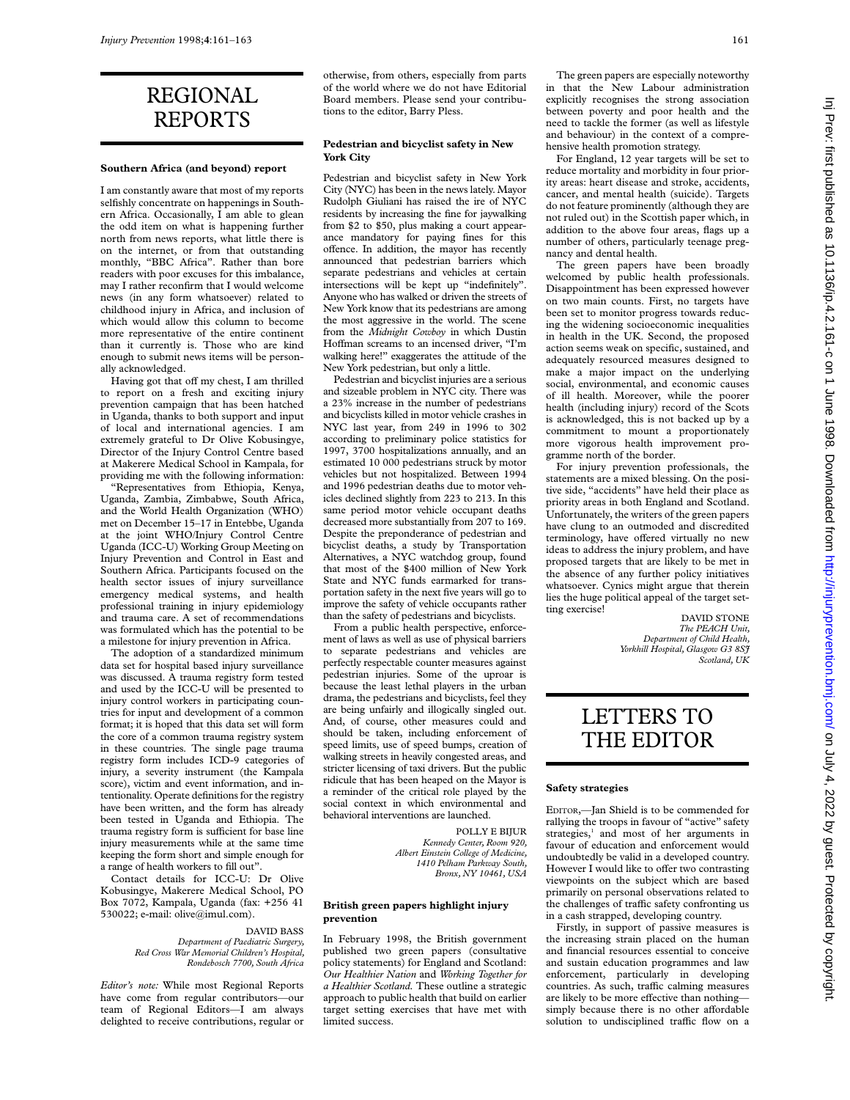# REGIONAL REPORTS

#### **Southern Africa (and beyond) report**

I am constantly aware that most of my reports selfishly concentrate on happenings in Southern Africa. Occasionally, I am able to glean the odd item on what is happening further north from news reports, what little there is on the internet, or from that outstanding monthly, "BBC Africa". Rather than bore readers with poor excuses for this imbalance, may I rather reconfirm that I would welcome news (in any form whatsoever) related to childhood injury in Africa, and inclusion of which would allow this column to become more representative of the entire continent than it currently is. Those who are kind enough to submit news items will be personally acknowledged.

Having got that off my chest, I am thrilled to report on a fresh and exciting injury prevention campaign that has been hatched in Uganda, thanks to both support and input of local and international agencies. I am extremely grateful to Dr Olive Kobusingye, Director of the Injury Control Centre based at Makerere Medical School in Kampala, for providing me with the following information:

"Representatives from Ethiopia, Kenya, Uganda, Zambia, Zimbabwe, South Africa, and the World Health Organization (WHO) met on December 15–17 in Entebbe, Uganda at the joint WHO/Injury Control Centre Uganda (ICC-U) Working Group Meeting on Injury Prevention and Control in East and Southern Africa. Participants focused on the health sector issues of injury surveillance emergency medical systems, and health professional training in injury epidemiology and trauma care. A set of recommendations was formulated which has the potential to be a milestone for injury prevention in Africa.

The adoption of a standardized minimum data set for hospital based injury surveillance was discussed. A trauma registry form tested and used by the ICC-U will be presented to injury control workers in participating countries for input and development of a common format; it is hoped that this data set will form the core of a common trauma registry system in these countries. The single page trauma registry form includes ICD-9 categories of injury, a severity instrument (the Kampala score), victim and event information, and intentionality. Operate definitions for the registry have been written, and the form has already been tested in Uganda and Ethiopia. The trauma registry form is sufficient for base line injury measurements while at the same time keeping the form short and simple enough for a range of health workers to fill out".

Contact details for ICC-U: Dr Olive Kobusingye, Makerere Medical School, PO Box 7072, Kampala, Uganda (fax: +256 41 530022; e-mail: olive@imul.com).

#### DAVID BASS *Department of Paediatric Surgery, Red Cross War Memorial Children's Hospital, Rondebosch 7700, South Africa*

*Editor's note:* While most Regional Reports have come from regular contributors—our team of Regional Editors—I am always delighted to receive contributions, regular or otherwise, from others, especially from parts of the world where we do not have Editorial Board members. Please send your contributions to the editor, Barry Pless.

## **Pedestrian and bicyclist safety in New York City**

Pedestrian and bicyclist safety in New York City (NYC) has been in the news lately.Mayor Rudolph Giuliani has raised the ire of NYC residents by increasing the fine for jaywalking from \$2 to \$50, plus making a court appearance mandatory for paying fines for this offence. In addition, the mayor has recently announced that pedestrian barriers which separate pedestrians and vehicles at certain intersections will be kept up "indefinitely". Anyone who has walked or driven the streets of New York know that its pedestrians are among the most aggressive in the world. The scene from the *Midnight Cowboy* in which Dustin Hoffman screams to an incensed driver, "I'm walking here!" exaggerates the attitude of the New York pedestrian, but only a little.

Pedestrian and bicyclist injuries are a serious and sizeable problem in NYC city. There was a 23% increase in the number of pedestrians and bicyclists killed in motor vehicle crashes in NYC last year, from 249 in 1996 to 302 according to preliminary police statistics for 1997, 3700 hospitalizations annually, and an estimated 10 000 pedestrians struck by motor vehicles but not hospitalized. Between 1994 and 1996 pedestrian deaths due to motor vehicles declined slightly from 223 to 213. In this same period motor vehicle occupant deaths decreased more substantially from 207 to 169. Despite the preponderance of pedestrian and bicyclist deaths, a study by Transportation Alternatives, a NYC watchdog group, found that most of the \$400 million of New York State and NYC funds earmarked for transportation safety in the next five years will go to improve the safety of vehicle occupants rather than the safety of pedestrians and bicyclists.

From a public health perspective, enforcement of laws as well as use of physical barriers to separate pedestrians and vehicles are perfectly respectable counter measures against pedestrian injuries. Some of the uproar is because the least lethal players in the urban drama, the pedestrians and bicyclists, feel they are being unfairly and illogically singled out. And, of course, other measures could and should be taken, including enforcement of speed limits, use of speed bumps, creation of walking streets in heavily congested areas, and stricter licensing of taxi drivers. But the public ridicule that has been heaped on the Mayor is a reminder of the critical role played by the social context in which environmental and behavioral interventions are launched.

> POLLY E BIJUR *Kennedy Center, Room 920, Albert Einstein College of Medicine, 1410 Pelham Parkway South, Bronx, NY 10461, USA*

### **British green papers highlight injury prevention**

In February 1998, the British government published two green papers (consultative policy statements) for England and Scotland: *Our Healthier Nation* and *Working Together for a Healthier Scotland.* These outline a strategic approach to public health that build on earlier target setting exercises that have met with limited success.

The green papers are especially noteworthy in that the New Labour administration explicitly recognises the strong association between poverty and poor health and the need to tackle the former (as well as lifestyle and behaviour) in the context of a comprehensive health promotion strategy.

For England, 12 year targets will be set to reduce mortality and morbidity in four priority areas: heart disease and stroke, accidents, cancer, and mental health (suicide). Targets do not feature prominently (although they are not ruled out) in the Scottish paper which, in addition to the above four areas, flags up a number of others, particularly teenage pregnancy and dental health.

The green papers have been broadly welcomed by public health professionals. Disappointment has been expressed however on two main counts. First, no targets have been set to monitor progress towards reducing the widening socioeconomic inequalities in health in the UK. Second, the proposed action seems weak on specific, sustained, and adequately resourced measures designed to make a major impact on the underlying social, environmental, and economic causes of ill health. Moreover, while the poorer health (including injury) record of the Scots is acknowledged, this is not backed up by a commitment to mount a proportionately more vigorous health improvement programme north of the border.

For injury prevention professionals, the statements are a mixed blessing. On the positive side, "accidents" have held their place as priority areas in both England and Scotland. Unfortunately, the writers of the green papers have clung to an outmoded and discredited terminology, have offered virtually no new ideas to address the injury problem, and have proposed targets that are likely to be met in the absence of any further policy initiatives whatsoever. Cynics might argue that therein lies the huge political appeal of the target setting exercise!

DAVID STONE *The PEACH Unit, Department of Child Health, Yorkhill Hospital, Glasgow G3 8SJ Scotland, UK*

# LETTERS TO THE EDITOR

#### **Safety strategies**

EDITOR,—Jan Shield is to be commended for rallying the troops in favour of "active" safety strategies,<sup>1</sup> and most of her arguments in favour of education and enforcement would undoubtedly be valid in a developed country. However I would like to offer two contrasting viewpoints on the subject which are based primarily on personal observations related to the challenges of traffic safety confronting us in a cash strapped, developing country.

Firstly, in support of passive measures is the increasing strain placed on the human and financial resources essential to conceive and sustain education programmes and law enforcement, particularly in developing countries. As such, traffic calming measures are likely to be more effective than nothing simply because there is no other affordable solution to undisciplined traffic flow on a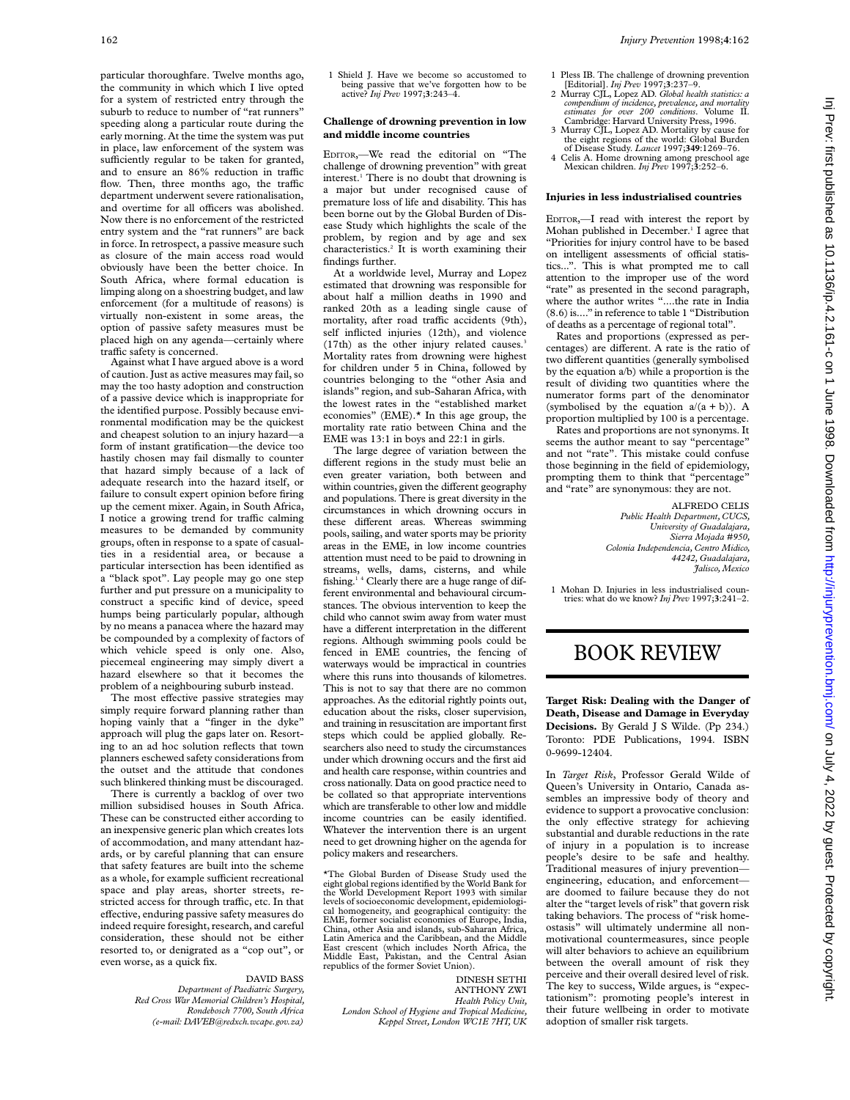particular thoroughfare. Twelve months ago, the community in which which I live opted for a system of restricted entry through the suburb to reduce to number of "rat runners" speeding along a particular route during the early morning. At the time the system was put in place, law enforcement of the system was sufficiently regular to be taken for granted, and to ensure an  $86\%$  reduction in traffic flow. Then, three months ago, the traffic department underwent severe rationalisation, and overtime for all officers was abolished. Now there is no enforcement of the restricted entry system and the "rat runners" are back in force. In retrospect, a passive measure such as closure of the main access road would obviously have been the better choice. In South Africa, where formal education is limping along on a shoestring budget, and law enforcement (for a multitude of reasons) is virtually non-existent in some areas, the option of passive safety measures must be placed high on any agenda—certainly where traffic safety is concerned.

Against what I have argued above is a word of caution. Just as active measures may fail, so may the too hasty adoption and construction of a passive device which is inappropriate for the identified purpose. Possibly because environmental modification may be the quickest and cheapest solution to an injury hazard—a form of instant gratification—the device too hastily chosen may fail dismally to counter that hazard simply because of a lack of adequate research into the hazard itself, or failure to consult expert opinion before firing up the cement mixer. Again, in South Africa, I notice a growing trend for traffic calming measures to be demanded by community groups, often in response to a spate of casualties in a residential area, or because a particular intersection has been identified as a "black spot". Lay people may go one step further and put pressure on a municipality to construct a specific kind of device, speed humps being particularly popular, although by no means a panacea where the hazard may be compounded by a complexity of factors of which vehicle speed is only one. Also, piecemeal engineering may simply divert a hazard elsewhere so that it becomes the problem of a neighbouring suburb instead.

The most effective passive strategies may simply require forward planning rather than hoping vainly that a "finger in the dyke" approach will plug the gaps later on. Resorting to an ad hoc solution reflects that town planners eschewed safety considerations from the outset and the attitude that condones such blinkered thinking must be discouraged.

There is currently a backlog of over two million subsidised houses in South Africa. These can be constructed either according to an inexpensive generic plan which creates lots of accommodation, and many attendant hazards, or by careful planning that can ensure that safety features are built into the scheme as a whole, for example sufficient recreational space and play areas, shorter streets, restricted access for through traffic, etc. In that effective, enduring passive safety measures do indeed require foresight, research, and careful consideration, these should not be either resorted to, or denigrated as a "cop out", or even worse, as a quick fix.

#### DAVID BASS

*Department of Paediatric Surgery, Red Cross War Memorial Children's Hospital, Rondebosch 7700, South Africa (e-mail: DAVEB@redxch.wcape.gov.za)*

1. Shield J. Have we become so accustomed to being passive that we've forgotten how to be active? *Inj Prev* 1997;**3**:243–4.

## **Challenge of drowning prevention in low and middle income countries**

EDITOR,—We read the editorial on "The challenge of drowning prevention" with great interest.<sup>1</sup> There is no doubt that drowning is a major but under recognised cause of premature loss of life and disability. This has been borne out by the Global Burden of Disease Study which highlights the scale of the problem, by region and by age and sex characteristics.2 It is worth examining their findings further.

At a worldwide level, Murray and Lopez estimated that drowning was responsible for about half a million deaths in 1990 and ranked 20th as a leading single cause of mortality, after road traffic accidents (9th), self inflicted injuries (12th), and violence (17th) as the other injury related causes.<sup>3</sup> Mortality rates from drowning were highest for children under 5 in China, followed by countries belonging to the "other Asia and islands" region, and sub-Saharan Africa, with the lowest rates in the "established market economies" (EME).\* In this age group, the mortality rate ratio between China and the EME was 13:1 in boys and 22:1 in girls.

The large degree of variation between the different regions in the study must belie an even greater variation, both between and within countries, given the different geography and populations. There is great diversity in the circumstances in which drowning occurs in these different areas. Whereas swimming pools, sailing, and water sports may be priority areas in the EME, in low income countries attention must need to be paid to drowning in streams, wells, dams, cisterns, and while fishing.1 4 Clearly there are a huge range of different environmental and behavioural circumstances. The obvious intervention to keep the child who cannot swim away from water must have a different interpretation in the different regions. Although swimming pools could be fenced in EME countries, the fencing of waterways would be impractical in countries where this runs into thousands of kilometres. This is not to say that there are no common approaches. As the editorial rightly points out, education about the risks, closer supervision, and training in resuscitation are important first steps which could be applied globally. Researchers also need to study the circumstances under which drowning occurs and the first aid and health care response, within countries and cross nationally. Data on good practice need to be collated so that appropriate interventions which are transferable to other low and middle income countries can be easily identified. Whatever the intervention there is an urgent need to get drowning higher on the agenda for policy makers and researchers.

\*The Global Burden of Disease Study used the eight global regions identified by the World Bank for the World Development Report 1993 with similar levels of socioeconomic development, epidemiological homogeneity, and geographical contiguity: the EME, former socialist economies of Europe, India, China, other Asia and islands, sub-Saharan Africa, Latin America and the Caribbean, and the Middle East crescent (which includes North Africa, the Middle East, Pakistan, and the Central Asian republics of the former Soviet Union).

DINESH SETHI ANTHONY ZWI *Health Policy Unit, London School of Hygiene and Tropical Medicine, Keppel Street, London WC1E 7HT, UK*

- 1 Pless IB. The challenge of drowning prevention [Editorial]. *Inj Prev* 1997;**3**:237–9.
- 2 Murray CJL, Lopez AD. *Global health statistics: a compendium of incidence, prevalence, and mortality estimates for over 200 conditions*. Volume II. Cambridge: Harvard University Press, 1996.
- 3 Murray CJL, Lopez AD. Mortality by cause for the eight regions of the world: Global Burden of Disease Study. *Lancet* 1997;**349**:1269–76.
- 4 Celis A. Home drowning among preschool age Mexican children. *Inj Prev* 1997;**3**:252–6.

#### **Injuries in less industrialised countries**

EDITOR,—I read with interest the report by Mohan published in December.<sup>1</sup> I agree that "Priorities for injury control have to be based on intelligent assessments of official statistics...". This is what prompted me to call attention to the improper use of the word "rate" as presented in the second paragraph, where the author writes "....the rate in India (8.6) is...." in reference to table 1 "Distribution of deaths as a percentage of regional total".

Rates and proportions (expressed as percentages) are different. A rate is the ratio of two different quantities (generally symbolised by the equation a/b) while a proportion is the result of dividing two quantities where the numerator forms part of the denominator (symbolised by the equation  $a/(a + b)$ ). A proportion multiplied by 100 is a percentage.

Rates and proportions are not synonyms. It seems the author meant to say "percentage" and not "rate". This mistake could confuse those beginning in the field of epidemiology, prompting them to think that "percentage" and "rate" are synonymous: they are not.

> ALFREDO CELIS *Public Health Department, CUCS, University of Guadalajara, Sierra Mojada #950, Colonia Independencia, Centro Midico, 44242, Guadalajara, Jalisco, Mexico*

1 Mohan D. Injuries in less industrialised countries: what do we know? *Inj Prev* 1997;**3**:241–2.

# BOOK REVIEW

**Target Risk: Dealing with the Danger of Death, Disease and Damage in Everyday Decisions.** By Gerald J S Wilde. (Pp 234.) Toronto: PDE Publications, 1994. ISBN 0-9699-12404.

In *Target Risk*, Professor Gerald Wilde of Queen's University in Ontario, Canada assembles an impressive body of theory and evidence to support a provocative conclusion: the only effective strategy for achieving substantial and durable reductions in the rate of injury in a population is to increase people's desire to be safe and healthy. Traditional measures of injury prevention engineering, education, and enforcement are doomed to failure because they do not alter the "target levels of risk" that govern risk taking behaviors. The process of "risk homeostasis" will ultimately undermine all nonmotivational countermeasures, since people will alter behaviors to achieve an equilibrium between the overall amount of risk they perceive and their overall desired level of risk. The key to success, Wilde argues, is "expectationism": promoting people's interest in their future wellbeing in order to motivate adoption of smaller risk targets.